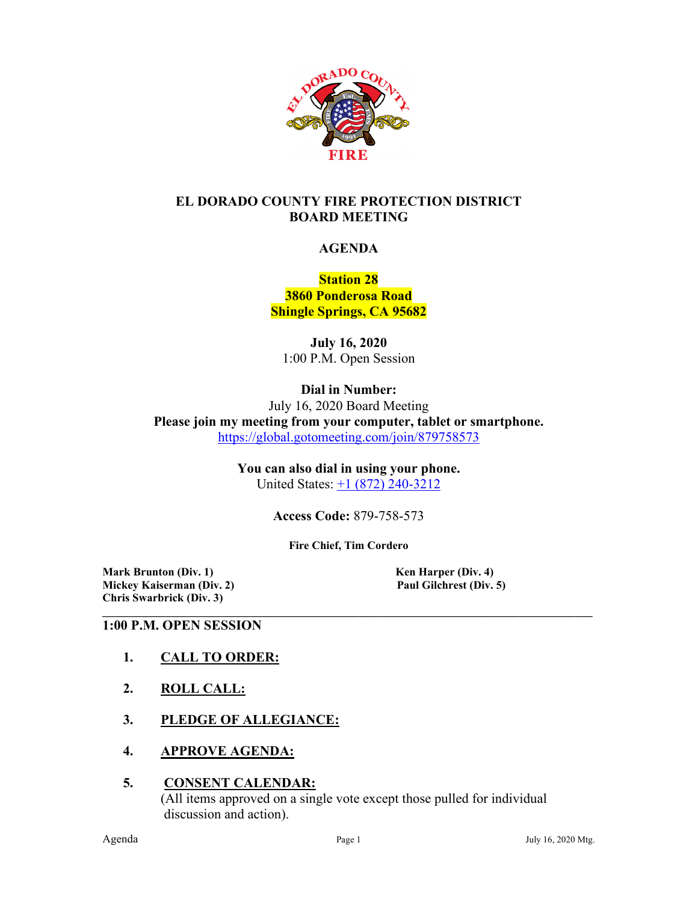

### **EL DORADO COUNTY FIRE PROTECTION DISTRICT BOARD MEETING**

#### **AGENDA**

## **Station 28 3860 Ponderosa Road Shingle Springs, CA 95682**

**July 16, 2020** 1:00 P.M. Open Session

**Dial in Number:**

July 16, 2020 Board Meeting **Please join my meeting from your computer, tablet or smartphone.**  <https://global.gotomeeting.com/join/879758573>

> **You can also dial in using your phone.**  United States: +1 [\(872\) 240-3212](tel:+18722403212,,879758573)

> > **Access Code:** 879-758-573

**Fire Chief, Tim Cordero**

**Mark Brunton (Div. 1)**<br> **Mickey Kaiserman (Div. 2)**<br> **Paul Gilchrest (Div. 5) Mickey Kaiserman** (Div. 2) **Chris Swarbrick (Div. 3)**

#### **\_\_\_\_\_\_\_\_\_\_\_\_\_\_\_\_\_\_\_\_\_\_\_\_\_\_\_\_\_\_\_\_\_\_\_\_\_\_\_\_\_\_\_\_\_\_\_\_\_\_\_\_\_\_\_\_\_\_\_\_\_\_\_\_\_\_\_\_\_\_\_\_\_\_\_\_\_\_\_\_\_\_\_\_\_\_ 1:00 P.M. OPEN SESSION**

- **1. CALL TO ORDER:**
- **2. ROLL CALL:**
- **3. PLEDGE OF ALLEGIANCE:**
- **4. APPROVE AGENDA:**

#### **5. CONSENT CALENDAR:** (All items approved on a single vote except those pulled for individual discussion and action).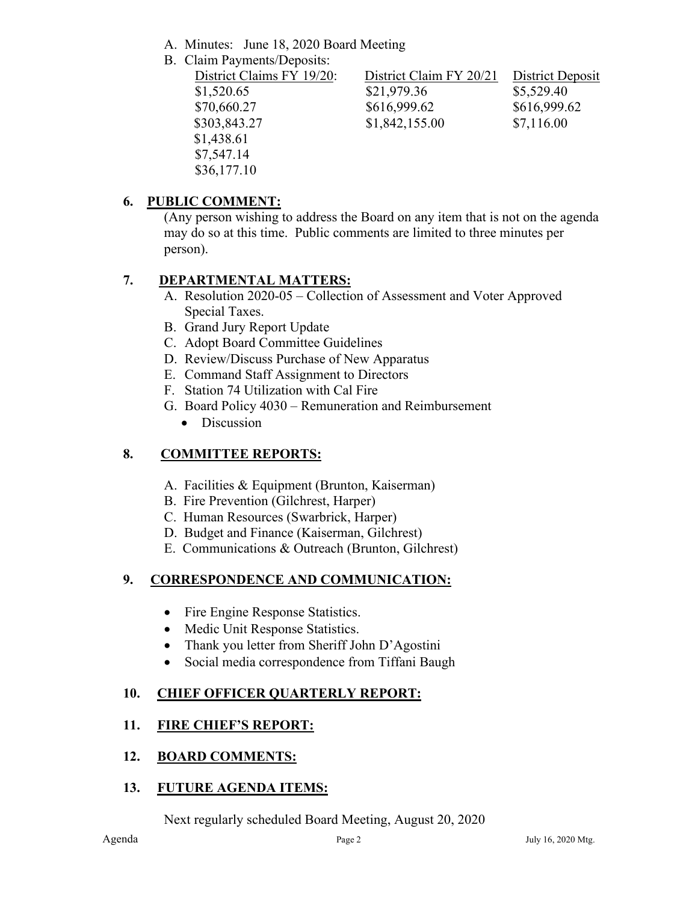- A. Minutes: June 18, 2020 Board Meeting
- B. Claim Payments/Deposits:

| District Claims FY 19/20: | District Claim FY 20/21 | District Deposit |
|---------------------------|-------------------------|------------------|
| \$1,520.65                | \$21,979.36             | \$5,529.40       |
| \$70,660.27               | \$616,999.62            | \$616,999.62     |
| \$303,843.27              | \$1,842,155.00          | \$7,116.00       |
| \$1,438.61                |                         |                  |
| \$7,547.14                |                         |                  |
| \$36,177.10               |                         |                  |

# **6. PUBLIC COMMENT:**

(Any person wishing to address the Board on any item that is not on the agenda may do so at this time. Public comments are limited to three minutes per person).

# **7. DEPARTMENTAL MATTERS:**

- A. Resolution 2020-05 Collection of Assessment and Voter Approved Special Taxes.
- B. Grand Jury Report Update
- C. Adopt Board Committee Guidelines
- D. Review/Discuss Purchase of New Apparatus
- E. Command Staff Assignment to Directors
- F. Station 74 Utilization with Cal Fire
- G. Board Policy 4030 Remuneration and Reimbursement
	- Discussion

# **8. COMMITTEE REPORTS:**

- A. Facilities & Equipment (Brunton, Kaiserman)
- B. Fire Prevention (Gilchrest, Harper)
- C. Human Resources (Swarbrick, Harper)
- D. Budget and Finance (Kaiserman, Gilchrest)
- E. Communications & Outreach (Brunton, Gilchrest)

# **9. CORRESPONDENCE AND COMMUNICATION:**

- Fire Engine Response Statistics.
- Medic Unit Response Statistics.
- Thank you letter from Sheriff John D'Agostini
- Social media correspondence from Tiffani Baugh

# **10. CHIEF OFFICER QUARTERLY REPORT:**

# **11. FIRE CHIEF'S REPORT:**

#### **12. BOARD COMMENTS:**

#### **13. FUTURE AGENDA ITEMS:**

Next regularly scheduled Board Meeting, August 20, 2020